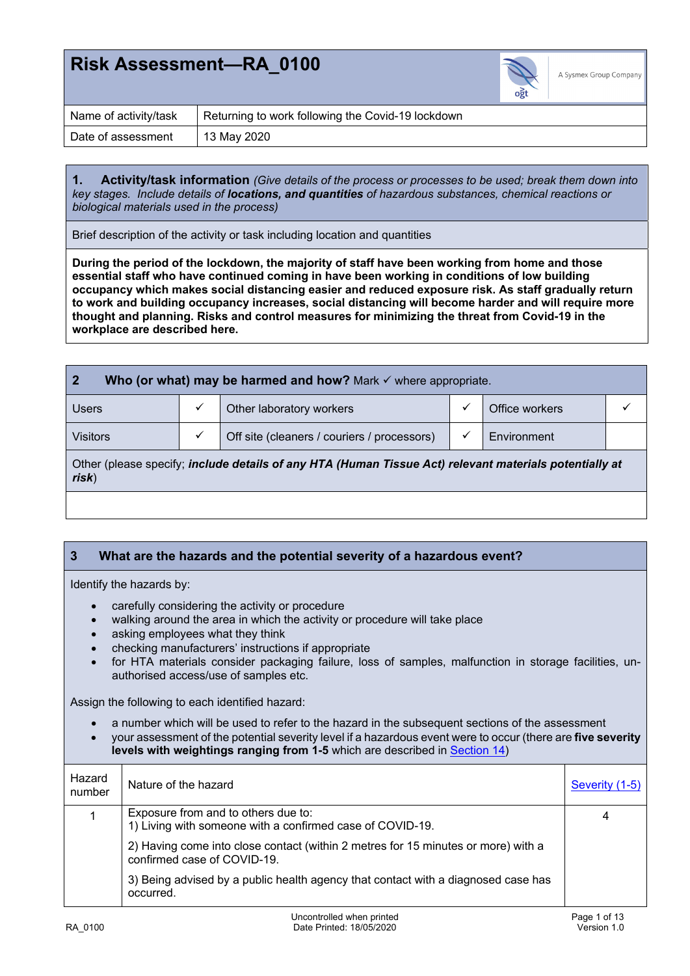

| Name of activity/task | Returning to work following the Covid-19 lockdown |
|-----------------------|---------------------------------------------------|
| Date of assessment    | 13 May 2020                                       |

**1. Activity/task information** *(Give details of the process or processes to be used; break them down into key stages. Include details of locations, and quantities of hazardous substances, chemical reactions or biological materials used in the process)*

Brief description of the activity or task including location and quantities

**During the period of the lockdown, the majority of staff have been working from home and those essential staff who have continued coming in have been working in conditions of low building occupancy which makes social distancing easier and reduced exposure risk. As staff gradually return to work and building occupancy increases, social distancing will become harder and will require more thought and planning. Risks and control measures for minimizing the threat from Covid-19 in the workplace are described here.** 

| $\overline{2}$<br>Who (or what) may be harmed and how? Mark $\checkmark$ where appropriate.                     |   |                                             |              |                |  |
|-----------------------------------------------------------------------------------------------------------------|---|---------------------------------------------|--------------|----------------|--|
| Users                                                                                                           |   | Other laboratory workers                    | ✓            | Office workers |  |
| <b>Visitors</b>                                                                                                 | ✓ | Off site (cleaners / couriers / processors) | $\checkmark$ | Environment    |  |
| Other (please specify; include details of any HTA (Human Tissue Act) relevant materials potentially at<br>risk) |   |                                             |              |                |  |
|                                                                                                                 |   |                                             |              |                |  |

### **3 What are the hazards and the potential severity of a hazardous event?**

Identify the hazards by:

- carefully considering the activity or procedure
- walking around the area in which the activity or procedure will take place
- asking employees what they think
- checking manufacturers' instructions if appropriate
- for HTA materials consider packaging failure, loss of samples, malfunction in storage facilities, unauthorised access/use of samples etc.

Assign the following to each identified hazard:

- a number which will be used to refer to the hazard in the subsequent sections of the assessment
- your assessment of the potential severity level if a hazardous event were to occur (there are **five severity levels with weightings ranging from 1-5** which are described in Section 14)

| Hazard<br>number | Nature of the hazard                                                                                             | Severity (1-5) |
|------------------|------------------------------------------------------------------------------------------------------------------|----------------|
|                  | Exposure from and to others due to:<br>1) Living with someone with a confirmed case of COVID-19.                 | 4              |
|                  | 2) Having come into close contact (within 2 metres for 15 minutes or more) with a<br>confirmed case of COVID-19. |                |
|                  | 3) Being advised by a public health agency that contact with a diagnosed case has<br>occurred.                   |                |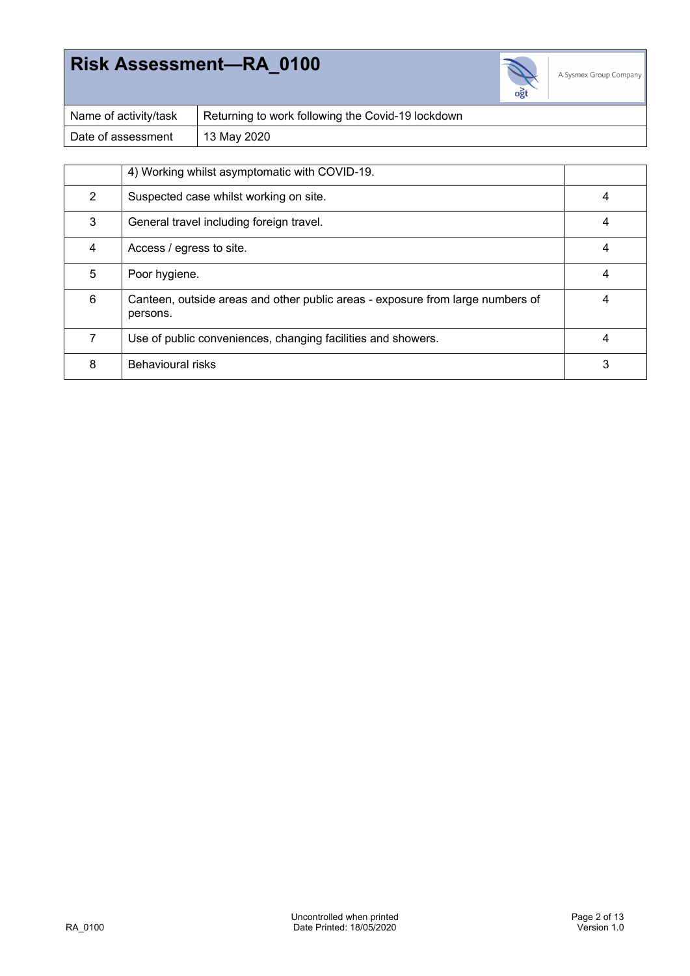

| Name of activity/task | Returning to work following the Covid-19 lockdown |
|-----------------------|---------------------------------------------------|
| Date of assessment    | 13 May 2020                                       |

|               | 4) Working whilst asymptomatic with COVID-19.                                              |   |
|---------------|--------------------------------------------------------------------------------------------|---|
| $\mathcal{P}$ | Suspected case whilst working on site.                                                     | 4 |
| 3             | General travel including foreign travel.                                                   | 4 |
| 4             | Access / egress to site.                                                                   | 4 |
| 5             | Poor hygiene.                                                                              | 4 |
| 6             | Canteen, outside areas and other public areas - exposure from large numbers of<br>persons. |   |
|               | Use of public conveniences, changing facilities and showers.                               | 4 |
| 8             | Behavioural risks                                                                          | 3 |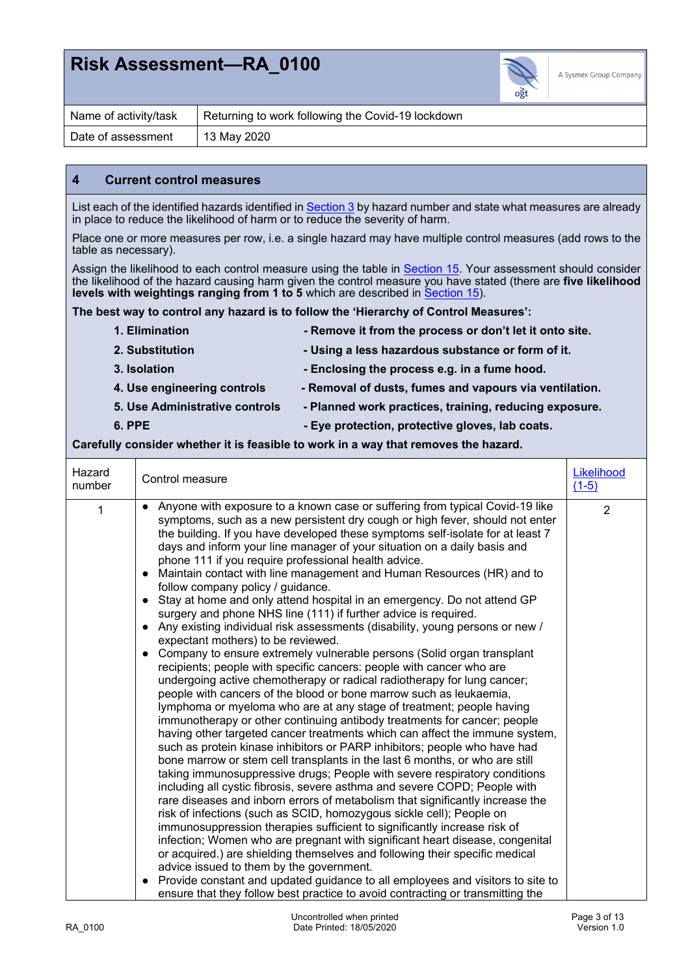

| Name of activity/task | Returning to work following the Covid-19 lockdown |
|-----------------------|---------------------------------------------------|
| Date of assessment    | 13 May 2020                                       |

#### **4 Current control measures**

List each of the identified hazards identified in Section 3 by hazard number and state what measures are already in place to reduce the likelihood of harm or to reduce the severity of harm.

Place one or more measures per row, i.e. a single hazard may have multiple control measures (add rows to the table as necessary).

Assign the likelihood to each control measure using the table in Section 15. Your assessment should consider the likelihood of the hazard causing harm given the control measure you have stated (there are **five likelihood levels with weightings ranging from 1 to 5** which are described in **Section 15**).

**The best way to control any hazard is to follow the 'Hierarchy of Control Measures':** 

| 1. Elimination                 | - Remove it from the process or don't let it onto site. |
|--------------------------------|---------------------------------------------------------|
| 2. Substitution                | - Using a less hazardous substance or form of it.       |
| 3. Isolation                   | - Enclosing the process e.g. in a fume hood.            |
| 4. Use engineering controls    | - Removal of dusts, fumes and vapours via ventilation.  |
| 5. Use Administrative controls | - Planned work practices, training, reducing exposure.  |
| 6. PPE                         | - Eye protection, protective gloves, lab coats.         |
|                                |                                                         |

#### **Carefully consider whether it is feasible to work in a way that removes the hazard.**

| Hazard<br>number | Control measure                                                                                                                                                                                                                                                                                                                                                                                                                                                                                                                                                                                                                                                                                                                                                                                                                                                                                                                                                                                                                                                                                                                                                                                                                                                                                                                                                                                                                                                                                                                                                                                                                                                                                                                                                                                                                                                                                                                                                                                                                                                                                                                                                                                                                                                                        | Likelihood<br>$(1-5)$ |
|------------------|----------------------------------------------------------------------------------------------------------------------------------------------------------------------------------------------------------------------------------------------------------------------------------------------------------------------------------------------------------------------------------------------------------------------------------------------------------------------------------------------------------------------------------------------------------------------------------------------------------------------------------------------------------------------------------------------------------------------------------------------------------------------------------------------------------------------------------------------------------------------------------------------------------------------------------------------------------------------------------------------------------------------------------------------------------------------------------------------------------------------------------------------------------------------------------------------------------------------------------------------------------------------------------------------------------------------------------------------------------------------------------------------------------------------------------------------------------------------------------------------------------------------------------------------------------------------------------------------------------------------------------------------------------------------------------------------------------------------------------------------------------------------------------------------------------------------------------------------------------------------------------------------------------------------------------------------------------------------------------------------------------------------------------------------------------------------------------------------------------------------------------------------------------------------------------------------------------------------------------------------------------------------------------------|-----------------------|
| 1                | • Anyone with exposure to a known case or suffering from typical Covid-19 like<br>symptoms, such as a new persistent dry cough or high fever, should not enter<br>the building. If you have developed these symptoms self-isolate for at least 7<br>days and inform your line manager of your situation on a daily basis and<br>phone 111 if you require professional health advice.<br>Maintain contact with line management and Human Resources (HR) and to<br>$\bullet$<br>follow company policy / guidance.<br>• Stay at home and only attend hospital in an emergency. Do not attend GP<br>surgery and phone NHS line (111) if further advice is required.<br>• Any existing individual risk assessments (disability, young persons or new /<br>expectant mothers) to be reviewed.<br>• Company to ensure extremely vulnerable persons (Solid organ transplant<br>recipients; people with specific cancers: people with cancer who are<br>undergoing active chemotherapy or radical radiotherapy for lung cancer;<br>people with cancers of the blood or bone marrow such as leukaemia,<br>lymphoma or myeloma who are at any stage of treatment; people having<br>immunotherapy or other continuing antibody treatments for cancer; people<br>having other targeted cancer treatments which can affect the immune system,<br>such as protein kinase inhibitors or PARP inhibitors; people who have had<br>bone marrow or stem cell transplants in the last 6 months, or who are still<br>taking immunosuppressive drugs; People with severe respiratory conditions<br>including all cystic fibrosis, severe asthma and severe COPD; People with<br>rare diseases and inborn errors of metabolism that significantly increase the<br>risk of infections (such as SCID, homozygous sickle cell); People on<br>immunosuppression therapies sufficient to significantly increase risk of<br>infection; Women who are pregnant with significant heart disease, congenital<br>or acquired.) are shielding themselves and following their specific medical<br>advice issued to them by the government.<br>Provide constant and updated guidance to all employees and visitors to site to<br>$\bullet$<br>ensure that they follow best practice to avoid contracting or transmitting the | $\overline{2}$        |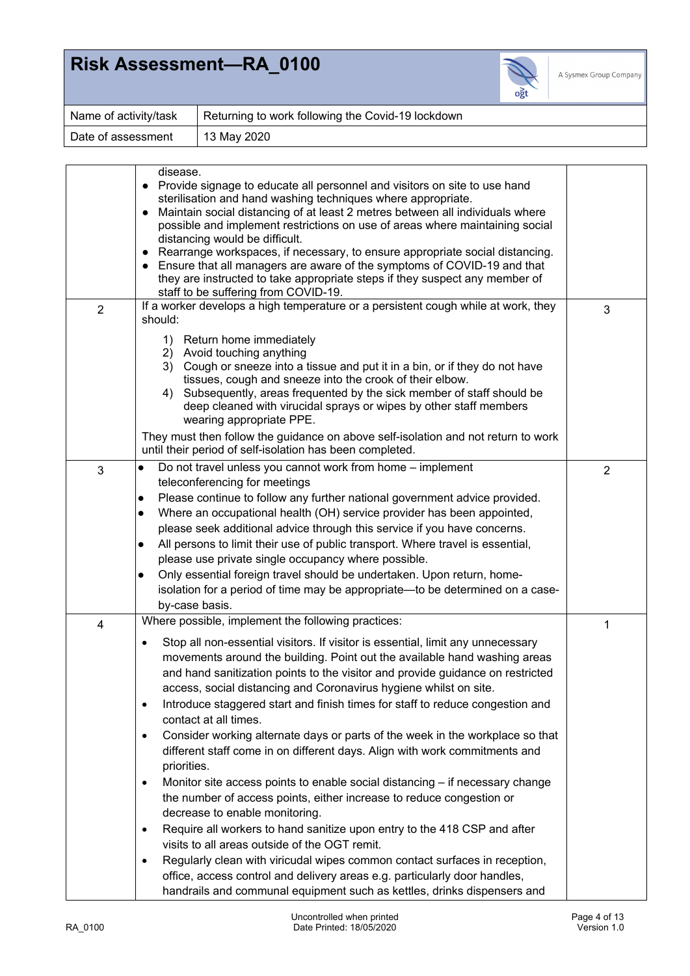

| Name of activity/task | Returning to work following the Covid-19 lockdown |
|-----------------------|---------------------------------------------------|
| Date of assessment    | 13 May 2020                                       |

|                | disease.<br>Provide signage to educate all personnel and visitors on site to use hand<br>$\bullet$<br>sterilisation and hand washing techniques where appropriate.<br>Maintain social distancing of at least 2 metres between all individuals where<br>$\bullet$<br>possible and implement restrictions on use of areas where maintaining social<br>distancing would be difficult.<br>Rearrange workspaces, if necessary, to ensure appropriate social distancing.<br>Ensure that all managers are aware of the symptoms of COVID-19 and that<br>they are instructed to take appropriate steps if they suspect any member of<br>staff to be suffering from COVID-19.                                                                                                                                                                                                                                                                                                                                                                                                                                                                                                                                                                                                                         |                |
|----------------|----------------------------------------------------------------------------------------------------------------------------------------------------------------------------------------------------------------------------------------------------------------------------------------------------------------------------------------------------------------------------------------------------------------------------------------------------------------------------------------------------------------------------------------------------------------------------------------------------------------------------------------------------------------------------------------------------------------------------------------------------------------------------------------------------------------------------------------------------------------------------------------------------------------------------------------------------------------------------------------------------------------------------------------------------------------------------------------------------------------------------------------------------------------------------------------------------------------------------------------------------------------------------------------------|----------------|
| $\overline{2}$ | If a worker develops a high temperature or a persistent cough while at work, they<br>should:                                                                                                                                                                                                                                                                                                                                                                                                                                                                                                                                                                                                                                                                                                                                                                                                                                                                                                                                                                                                                                                                                                                                                                                                 | 3              |
|                | 1) Return home immediately<br>2) Avoid touching anything<br>3) Cough or sneeze into a tissue and put it in a bin, or if they do not have<br>tissues, cough and sneeze into the crook of their elbow.<br>Subsequently, areas frequented by the sick member of staff should be<br>4)<br>deep cleaned with virucidal sprays or wipes by other staff members<br>wearing appropriate PPE.                                                                                                                                                                                                                                                                                                                                                                                                                                                                                                                                                                                                                                                                                                                                                                                                                                                                                                         |                |
|                | They must then follow the guidance on above self-isolation and not return to work<br>until their period of self-isolation has been completed.                                                                                                                                                                                                                                                                                                                                                                                                                                                                                                                                                                                                                                                                                                                                                                                                                                                                                                                                                                                                                                                                                                                                                |                |
| 3              | Do not travel unless you cannot work from home - implement<br>$\bullet$<br>teleconferencing for meetings<br>Please continue to follow any further national government advice provided.<br>$\bullet$<br>Where an occupational health (OH) service provider has been appointed,<br>$\bullet$<br>please seek additional advice through this service if you have concerns.<br>All persons to limit their use of public transport. Where travel is essential,<br>$\bullet$<br>please use private single occupancy where possible.<br>Only essential foreign travel should be undertaken. Upon return, home-<br>$\bullet$<br>isolation for a period of time may be appropriate—to be determined on a case-<br>by-case basis.                                                                                                                                                                                                                                                                                                                                                                                                                                                                                                                                                                       | $\overline{2}$ |
| $\overline{4}$ | Where possible, implement the following practices:<br>Stop all non-essential visitors. If visitor is essential, limit any unnecessary<br>٠<br>movements around the building. Point out the available hand washing areas<br>and hand sanitization points to the visitor and provide guidance on restricted<br>access, social distancing and Coronavirus hygiene whilst on site.<br>Introduce staggered start and finish times for staff to reduce congestion and<br>٠<br>contact at all times.<br>Consider working alternate days or parts of the week in the workplace so that<br>$\bullet$<br>different staff come in on different days. Align with work commitments and<br>priorities.<br>Monitor site access points to enable social distancing - if necessary change<br>$\bullet$<br>the number of access points, either increase to reduce congestion or<br>decrease to enable monitoring.<br>Require all workers to hand sanitize upon entry to the 418 CSP and after<br>$\bullet$<br>visits to all areas outside of the OGT remit.<br>Regularly clean with viricudal wipes common contact surfaces in reception,<br>$\bullet$<br>office, access control and delivery areas e.g. particularly door handles,<br>handrails and communal equipment such as kettles, drinks dispensers and | 1              |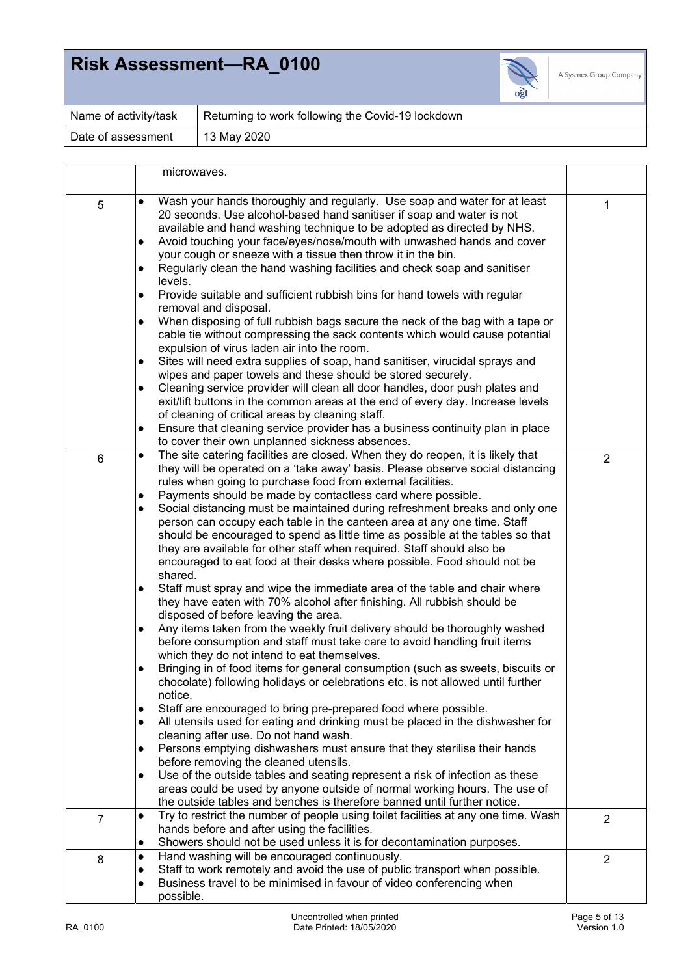

| Name of activity/task | Returning to work following the Covid-19 lockdown |
|-----------------------|---------------------------------------------------|
| Date of assessment    | 13 May 2020                                       |

|   |                        | microwaves.                                                                                                                                                                                                                                                                                                                                                                                               |                |
|---|------------------------|-----------------------------------------------------------------------------------------------------------------------------------------------------------------------------------------------------------------------------------------------------------------------------------------------------------------------------------------------------------------------------------------------------------|----------------|
| 5 | $\bullet$              | Wash your hands thoroughly and regularly. Use soap and water for at least<br>20 seconds. Use alcohol-based hand sanitiser if soap and water is not<br>available and hand washing technique to be adopted as directed by NHS.<br>Avoid touching your face/eyes/nose/mouth with unwashed hands and cover                                                                                                    | 1              |
|   | $\bullet$              | your cough or sneeze with a tissue then throw it in the bin.<br>Regularly clean the hand washing facilities and check soap and sanitiser                                                                                                                                                                                                                                                                  |                |
|   | $\bullet$              | levels.<br>Provide suitable and sufficient rubbish bins for hand towels with regular                                                                                                                                                                                                                                                                                                                      |                |
|   | $\bullet$              | removal and disposal.<br>When disposing of full rubbish bags secure the neck of the bag with a tape or<br>cable tie without compressing the sack contents which would cause potential<br>expulsion of virus laden air into the room.                                                                                                                                                                      |                |
|   | $\bullet$              | Sites will need extra supplies of soap, hand sanitiser, virucidal sprays and                                                                                                                                                                                                                                                                                                                              |                |
|   | $\bullet$              | wipes and paper towels and these should be stored securely.<br>Cleaning service provider will clean all door handles, door push plates and<br>exit/lift buttons in the common areas at the end of every day. Increase levels                                                                                                                                                                              |                |
|   | $\bullet$              | of cleaning of critical areas by cleaning staff.<br>Ensure that cleaning service provider has a business continuity plan in place<br>to cover their own unplanned sickness absences.                                                                                                                                                                                                                      |                |
| 6 | $\bullet$              | The site catering facilities are closed. When they do reopen, it is likely that<br>they will be operated on a 'take away' basis. Please observe social distancing<br>rules when going to purchase food from external facilities.                                                                                                                                                                          | $\overline{2}$ |
|   | $\bullet$              | Payments should be made by contactless card where possible.                                                                                                                                                                                                                                                                                                                                               |                |
|   | $\bullet$              | Social distancing must be maintained during refreshment breaks and only one<br>person can occupy each table in the canteen area at any one time. Staff<br>should be encouraged to spend as little time as possible at the tables so that<br>they are available for other staff when required. Staff should also be<br>encouraged to eat food at their desks where possible. Food should not be<br>shared. |                |
|   | $\bullet$              | Staff must spray and wipe the immediate area of the table and chair where<br>they have eaten with 70% alcohol after finishing. All rubbish should be<br>disposed of before leaving the area.                                                                                                                                                                                                              |                |
|   | $\bullet$              | Any items taken from the weekly fruit delivery should be thoroughly washed<br>before consumption and staff must take care to avoid handling fruit items<br>which they do not intend to eat themselves.                                                                                                                                                                                                    |                |
|   |                        | Bringing in of food items for general consumption (such as sweets, biscuits or<br>chocolate) following holidays or celebrations etc. is not allowed until further<br>notice.                                                                                                                                                                                                                              |                |
|   | $\bullet$<br>$\bullet$ | Staff are encouraged to bring pre-prepared food where possible.<br>All utensils used for eating and drinking must be placed in the dishwasher for<br>cleaning after use. Do not hand wash.                                                                                                                                                                                                                |                |
|   | $\bullet$              | Persons emptying dishwashers must ensure that they sterilise their hands<br>before removing the cleaned utensils.                                                                                                                                                                                                                                                                                         |                |
|   | $\bullet$              | Use of the outside tables and seating represent a risk of infection as these<br>areas could be used by anyone outside of normal working hours. The use of<br>the outside tables and benches is therefore banned until further notice.                                                                                                                                                                     |                |
| 7 | $\bullet$              | Try to restrict the number of people using toilet facilities at any one time. Wash<br>hands before and after using the facilities.<br>Showers should not be used unless it is for decontamination purposes.                                                                                                                                                                                               | $\overline{2}$ |
| 8 | $\bullet$              | Hand washing will be encouraged continuously.                                                                                                                                                                                                                                                                                                                                                             | $\overline{2}$ |
|   |                        | Staff to work remotely and avoid the use of public transport when possible.                                                                                                                                                                                                                                                                                                                               |                |
|   | $\bullet$              | Business travel to be minimised in favour of video conferencing when<br>possible.                                                                                                                                                                                                                                                                                                                         |                |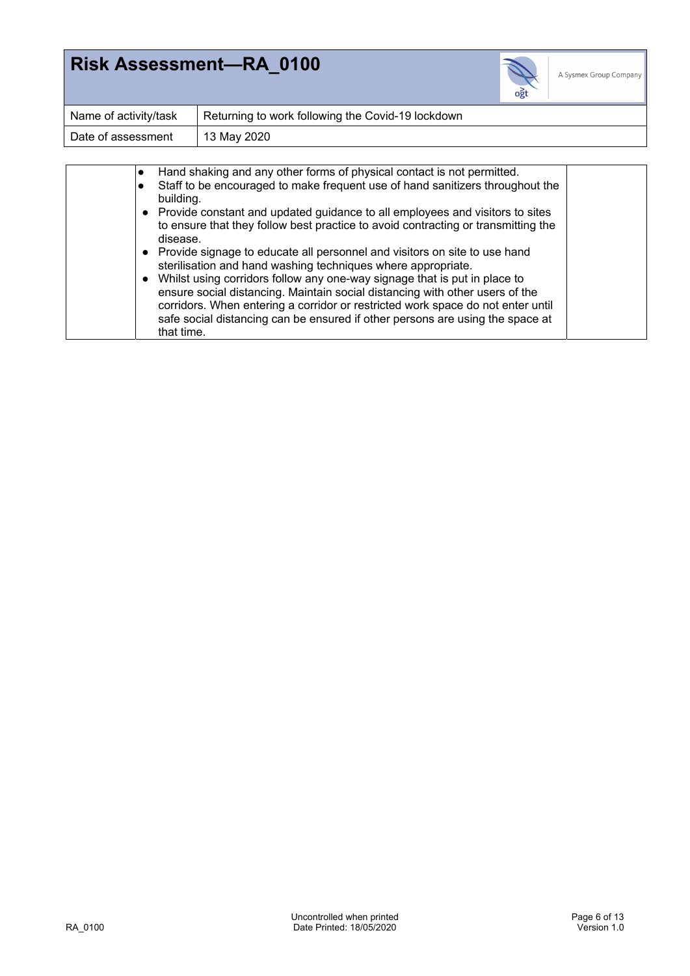

| Name of activity/task | Returning to work following the Covid-19 lockdown |
|-----------------------|---------------------------------------------------|
| Date of assessment    | 13 May 2020                                       |

|  | Hand shaking and any other forms of physical contact is not permitted.                                                                                                                                                                                                                                                                      |  |
|--|---------------------------------------------------------------------------------------------------------------------------------------------------------------------------------------------------------------------------------------------------------------------------------------------------------------------------------------------|--|
|  | Staff to be encouraged to make frequent use of hand sanitizers throughout the<br>building.                                                                                                                                                                                                                                                  |  |
|  | • Provide constant and updated guidance to all employees and visitors to sites<br>to ensure that they follow best practice to avoid contracting or transmitting the<br>disease.                                                                                                                                                             |  |
|  | Provide signage to educate all personnel and visitors on site to use hand<br>sterilisation and hand washing techniques where appropriate.                                                                                                                                                                                                   |  |
|  | Whilst using corridors follow any one-way signage that is put in place to<br>ensure social distancing. Maintain social distancing with other users of the<br>corridors. When entering a corridor or restricted work space do not enter until<br>safe social distancing can be ensured if other persons are using the space at<br>that time. |  |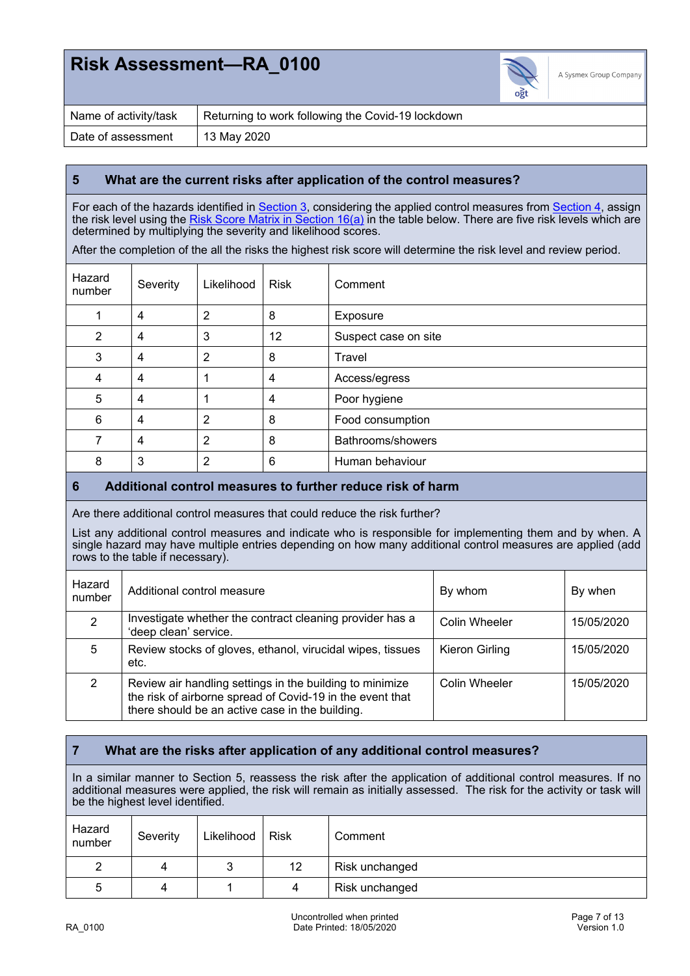

| Name of activity/task | Returning to work following the Covid-19 lockdown |
|-----------------------|---------------------------------------------------|
| Date of assessment    | 13 May 2020                                       |

### **5 What are the current risks after application of the control measures?**

For each of the hazards identified in <u>Section 3,</u> considering the applied control measures from <u>Section 4,</u> assign the risk level using the <u>Risk Score Matrix in Section 16(a)</u> in the table below. There are five risk levels which are determined by multiplying the severity and likelihood scores.

After the completion of the all the risks the highest risk score will determine the risk level and review period.

| Hazard<br>number | Severity       | Likelihood     | <b>Risk</b> | Comment              |
|------------------|----------------|----------------|-------------|----------------------|
|                  | $\overline{4}$ | 2              | 8           | Exposure             |
| $\overline{2}$   | $\overline{4}$ | 3              | 12          | Suspect case on site |
| 3                | $\overline{4}$ | 2              | 8           | Travel               |
| 4                | $\overline{4}$ |                | 4           | Access/egress        |
| 5                | $\overline{4}$ |                | 4           | Poor hygiene         |
| 6                | $\overline{4}$ | $\overline{2}$ | 8           | Food consumption     |
|                  | $\overline{4}$ | 2              | 8           | Bathrooms/showers    |
| 8                | 3              | 2              | 6           | Human behaviour      |

### **6 Additional control measures to further reduce risk of harm**

Are there additional control measures that could reduce the risk further?

List any additional control measures and indicate who is responsible for implementing them and by when. A single hazard may have multiple entries depending on how many additional control measures are applied (add rows to the table if necessary).

| Hazard<br>number | Additional control measure                                                                                                                                               | By whom        | By when    |
|------------------|--------------------------------------------------------------------------------------------------------------------------------------------------------------------------|----------------|------------|
| $\mathcal{P}$    | Investigate whether the contract cleaning provider has a<br>'deep clean' service.                                                                                        | Colin Wheeler  | 15/05/2020 |
| 5                | Review stocks of gloves, ethanol, virucidal wipes, tissues<br>etc.                                                                                                       | Kieron Girling | 15/05/2020 |
| 2                | Review air handling settings in the building to minimize<br>the risk of airborne spread of Covid-19 in the event that<br>there should be an active case in the building. | Colin Wheeler  | 15/05/2020 |

### **7 What are the risks after application of any additional control measures?**

In a similar manner to Section 5, reassess the risk after the application of additional control measures. If no additional measures were applied, the risk will remain as initially assessed. The risk for the activity or task will be the highest level identified.

| Hazard<br>number | Severity | Likelihood | Risk              | Comment        |
|------------------|----------|------------|-------------------|----------------|
|                  | 4        |            | $12 \overline{ }$ | Risk unchanged |
| 5                | 4        |            | 4                 | Risk unchanged |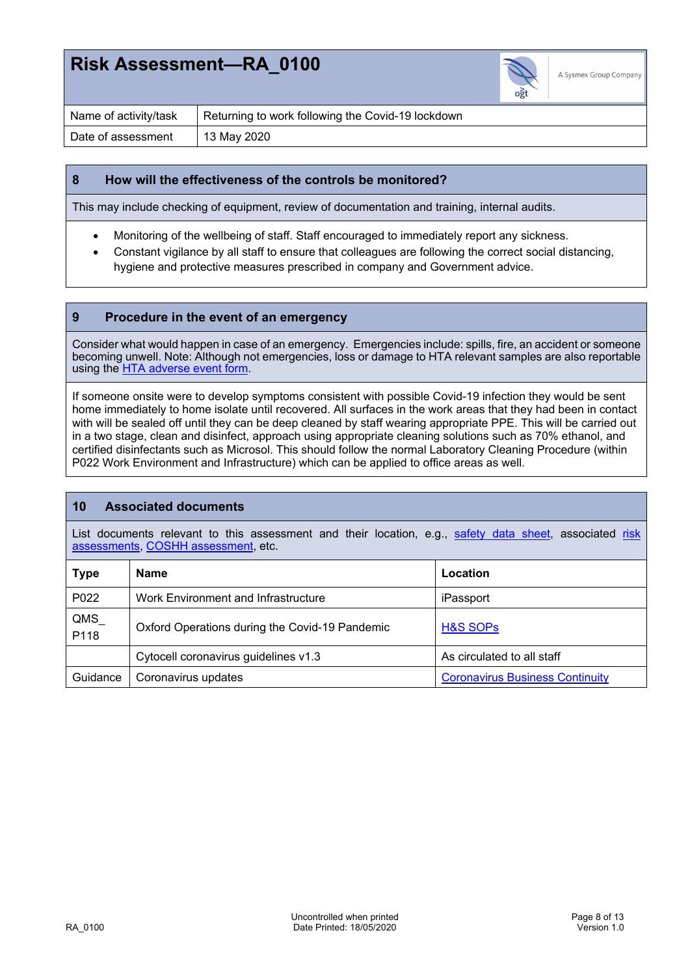

| Name of activity/task | Returning to work following the Covid-19 lockdown |
|-----------------------|---------------------------------------------------|
| Date of assessment    | 13 May 2020                                       |

#### **8 How will the effectiveness of the controls be monitored?**

This may include checking of equipment, review of documentation and training, internal audits.

- Monitoring of the wellbeing of staff. Staff encouraged to immediately report any sickness.
- Constant vigilance by all staff to ensure that colleagues are following the correct social distancing, hygiene and protective measures prescribed in company and Government advice.

#### **9 Procedure in the event of an emergency**

Consider what would happen in case of an emergency. Emergencies include: spills, fire, an accident or someone becoming unwell. Note: Although not emergencies, loss or damage to HTA relevant samples are also reportable using the HTA adverse event form.

If someone onsite were to develop symptoms consistent with possible Covid-19 infection they would be sent home immediately to home isolate until recovered. All surfaces in the work areas that they had been in contact with will be sealed off until they can be deep cleaned by staff wearing appropriate PPE. This will be carried out in a two stage, clean and disinfect, approach using appropriate cleaning solutions such as 70% ethanol, and certified disinfectants such as Microsol. This should follow the normal Laboratory Cleaning Procedure (within P022 Work Environment and Infrastructure) which can be applied to office areas as well.

### **10 Associated documents**

List documents relevant to this assessment and their location, e.g., safety data sheet, associated risk assessments, COSHH assessment, etc.

| <b>Type</b> | <b>Name</b>                                    | Location                               |
|-------------|------------------------------------------------|----------------------------------------|
| P022        | Work Environment and Infrastructure            | iPassport                              |
| QMS<br>P118 | Oxford Operations during the Covid-19 Pandemic | H&S SOPs                               |
|             | Cytocell coronavirus guidelines v1.3           | As circulated to all staff             |
| Guidance    | Coronavirus updates                            | <b>Coronavirus Business Continuity</b> |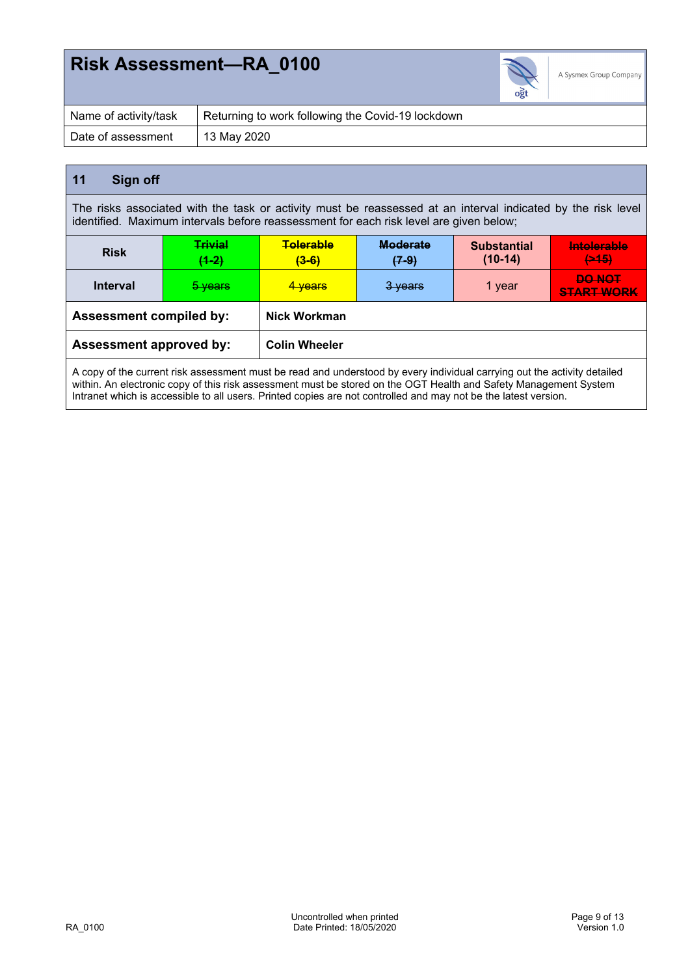

| Name of activity/task | Returning to work following the Covid-19 lockdown |
|-----------------------|---------------------------------------------------|
| Date of assessment    | 13 May 2020                                       |

### **11 Sign off**

The risks associated with the task or activity must be reassessed at an interval indicated by the risk level identified. Maximum intervals before reassessment for each risk level are given below;

| <b>Risk</b>                    | <b>Trivial</b><br>$(1-2)$ | <b>Tolerable</b><br>$(3-6)$ | <b>Moderate</b><br><del>(7-9)</del> | <b>Substantial</b><br>$(10-14)$ | <b>Intolerable</b><br>(245)        |
|--------------------------------|---------------------------|-----------------------------|-------------------------------------|---------------------------------|------------------------------------|
| <b>Interval</b>                | 5 years                   | <del>4 vears</del>          | 3 years                             | 1 year                          | <b>DO NOT</b><br><b>START WORK</b> |
| <b>Assessment compiled by:</b> |                           | <b>Nick Workman</b>         |                                     |                                 |                                    |
| <b>Assessment approved by:</b> |                           | <b>Colin Wheeler</b>        |                                     |                                 |                                    |

A copy of the current risk assessment must be read and understood by every individual carrying out the activity detailed within. An electronic copy of this risk assessment must be stored on the OGT Health and Safety Management System Intranet which is accessible to all users. Printed copies are not controlled and may not be the latest version.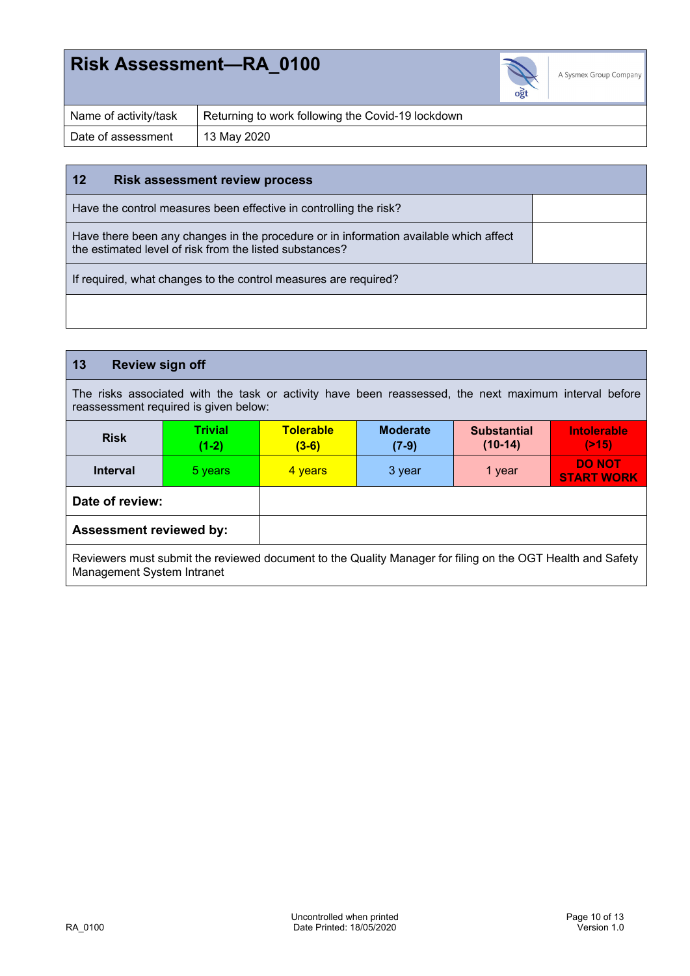

| Name of activity/task | Returning to work following the Covid-19 lockdown |
|-----------------------|---------------------------------------------------|
| Date of assessment    | $13$ May 2020                                     |

#### **12 Risk assessment review process**

Have the control measures been effective in controlling the risk?

Have there been any changes in the procedure or in information available which affect the estimated level of risk from the listed substances?

If required, what changes to the control measures are required?

#### **13 Review sign off** The risks associated with the task or activity have been reassessed, the next maximum interval before reassessment required is given below: **Risk Trivial (1-2) Tolerable (3-6) Moderate (7-9) Substantial (10-14) Intolerable (>15) Interval**  5 years 4 years 3 year 1 year 5 year 5 years 5 years 3 year 3 years 3 years 4 years 5 years 5 years **START WORK Date of review: Assessment reviewed by:**

Reviewers must submit the reviewed document to the Quality Manager for filing on the OGT Health and Safety Management System Intranet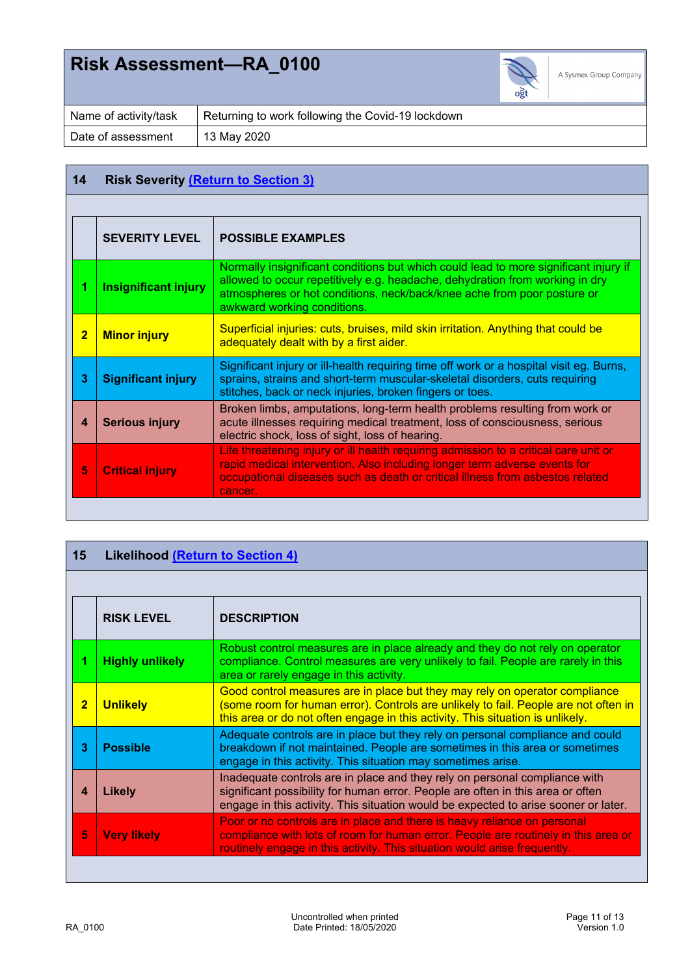

| Name of activity/task | Returning to work following the Covid-19 lockdown |
|-----------------------|---------------------------------------------------|
| Date of assessment    | 13 May 2020                                       |

### **14 Risk Severity (Return to Section 3)**

|                | <b>SEVERITY LEVEL</b>                                                                                                                                                                                                                                           | <b>POSSIBLE EXAMPLES</b>                                                                                                                                                                                                                                                       |  |  |
|----------------|-----------------------------------------------------------------------------------------------------------------------------------------------------------------------------------------------------------------------------------------------------------------|--------------------------------------------------------------------------------------------------------------------------------------------------------------------------------------------------------------------------------------------------------------------------------|--|--|
|                |                                                                                                                                                                                                                                                                 |                                                                                                                                                                                                                                                                                |  |  |
|                | <b>Insignificant injury</b>                                                                                                                                                                                                                                     | Normally insignificant conditions but which could lead to more significant injury if<br>allowed to occur repetitively e.g. headache, dehydration from working in dry<br>atmospheres or hot conditions, neck/back/knee ache from poor posture or<br>awkward working conditions. |  |  |
| $\overline{2}$ | <b>Minor injury</b>                                                                                                                                                                                                                                             | Superficial injuries: cuts, bruises, mild skin irritation. Anything that could be<br>adequately dealt with by a first aider.                                                                                                                                                   |  |  |
| 3              | Significant injury or ill-health requiring time off work or a hospital visit eg. Burns,<br>sprains, strains and short-term muscular-skeletal disorders, cuts requiring<br><b>Significant injury</b><br>stitches, back or neck injuries, broken fingers or toes. |                                                                                                                                                                                                                                                                                |  |  |
| 4              | Broken limbs, amputations, long-term health problems resulting from work or<br>acute illnesses requiring medical treatment, loss of consciousness, serious<br><b>Serious injury</b><br>electric shock, loss of sight, loss of hearing.                          |                                                                                                                                                                                                                                                                                |  |  |
| 5              | <b>Critical injury</b>                                                                                                                                                                                                                                          | Life threatening injury or ill health requiring admission to a critical care unit or<br>rapid medical intervention. Also including longer term adverse events for<br>occupational diseases such as death or critical illness from asbestos related<br>cancer.                  |  |  |
|                |                                                                                                                                                                                                                                                                 |                                                                                                                                                                                                                                                                                |  |  |

| 15                      | <b>Likelihood (Return to Section 4)</b> |                                                                                                                                                                                                                                                      |  |  |  |
|-------------------------|-----------------------------------------|------------------------------------------------------------------------------------------------------------------------------------------------------------------------------------------------------------------------------------------------------|--|--|--|
|                         |                                         |                                                                                                                                                                                                                                                      |  |  |  |
|                         | <b>RISK LEVEL</b>                       | <b>DESCRIPTION</b>                                                                                                                                                                                                                                   |  |  |  |
| 1                       | <b>Highly unlikely</b>                  | Robust control measures are in place already and they do not rely on operator<br>compliance. Control measures are very unlikely to fail. People are rarely in this<br>area or rarely engage in this activity.                                        |  |  |  |
| $\overline{\mathbf{2}}$ | <b>Unlikely</b>                         | Good control measures are in place but they may rely on operator compliance<br>(some room for human error). Controls are unlikely to fail. People are not often in<br>this area or do not often engage in this activity. This situation is unlikely. |  |  |  |
| 3                       | <b>Possible</b>                         | Adequate controls are in place but they rely on personal compliance and could<br>breakdown if not maintained. People are sometimes in this area or sometimes<br>engage in this activity. This situation may sometimes arise.                         |  |  |  |
| 4                       | <b>Likely</b>                           | Inadequate controls are in place and they rely on personal compliance with<br>significant possibility for human error. People are often in this area or often<br>engage in this activity. This situation would be expected to arise sooner or later. |  |  |  |
| 5                       | <b>Very likely</b>                      | Poor or no controls are in place and there is heavy reliance on personal<br>compliance with lots of room for human error. People are routinely in this area or<br>routinely engage in this activity. This situation would arise frequently.          |  |  |  |
|                         |                                         |                                                                                                                                                                                                                                                      |  |  |  |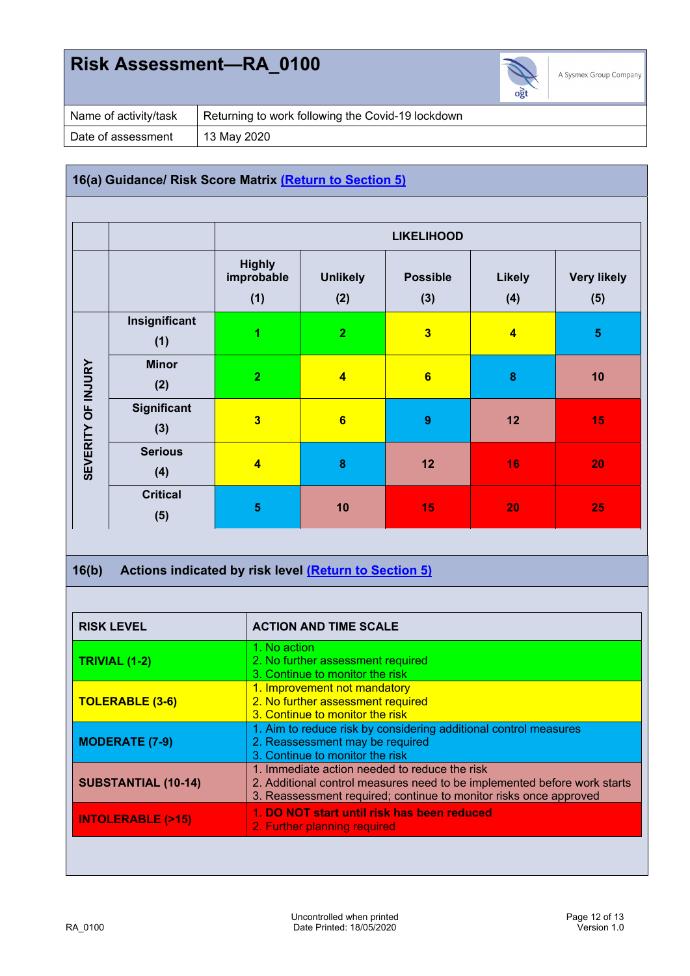

| Name of activity/task | Returning to work following the Covid-19 lockdown |  |  |
|-----------------------|---------------------------------------------------|--|--|
| Date of assessment    | 13 May 2020                                       |  |  |

### **16(a) Guidance/ Risk Score Matrix (Return to Section 5)**

|                    |                        | <b>LIKELIHOOD</b>                  |                         |                         |                      |                           |
|--------------------|------------------------|------------------------------------|-------------------------|-------------------------|----------------------|---------------------------|
|                    |                        | <b>Highly</b><br>improbable<br>(1) | <b>Unlikely</b><br>(2)  | <b>Possible</b><br>(3)  | <b>Likely</b><br>(4) | <b>Very likely</b><br>(5) |
|                    | Insignificant<br>(1)   | 1                                  | $\overline{2}$          | $\overline{\mathbf{3}}$ | $\blacktriangleleft$ | $\overline{\mathbf{5}}$   |
|                    | <b>Minor</b><br>(2)    | $\overline{2}$                     | $\overline{\mathbf{4}}$ | 6                       | $\bf{8}$             | 10                        |
| SEVERITY OF INJURY | Significant<br>(3)     | $\overline{\mathbf{3}}$            | $6\phantom{a}$          | $\boldsymbol{9}$        | 12                   | 15                        |
|                    | <b>Serious</b><br>(4)  | $\overline{\mathbf{4}}$            | $\bf{8}$                | 12                      | 16                   | 20                        |
|                    | <b>Critical</b><br>(5) | $\overline{\mathbf{5}}$            | 10                      | 15                      | 20                   | 25                        |

### **16(b) Actions indicated by risk level (Return to Section 5)**

| 1. No action<br>2. No further assessment required<br>3. Continue to monitor the risk<br>1. Improvement not mandatory                                                                           |
|------------------------------------------------------------------------------------------------------------------------------------------------------------------------------------------------|
|                                                                                                                                                                                                |
| 2. No further assessment required<br>3. Continue to monitor the risk                                                                                                                           |
| 1. Aim to reduce risk by considering additional control measures<br>2. Reassessment may be required<br>3. Continue to monitor the risk                                                         |
| 1. Immediate action needed to reduce the risk<br>2. Additional control measures need to be implemented before work starts<br>3. Reassessment required; continue to monitor risks once approved |
| 1. DO NOT start until risk has been reduced<br>2. Further planning required                                                                                                                    |
|                                                                                                                                                                                                |